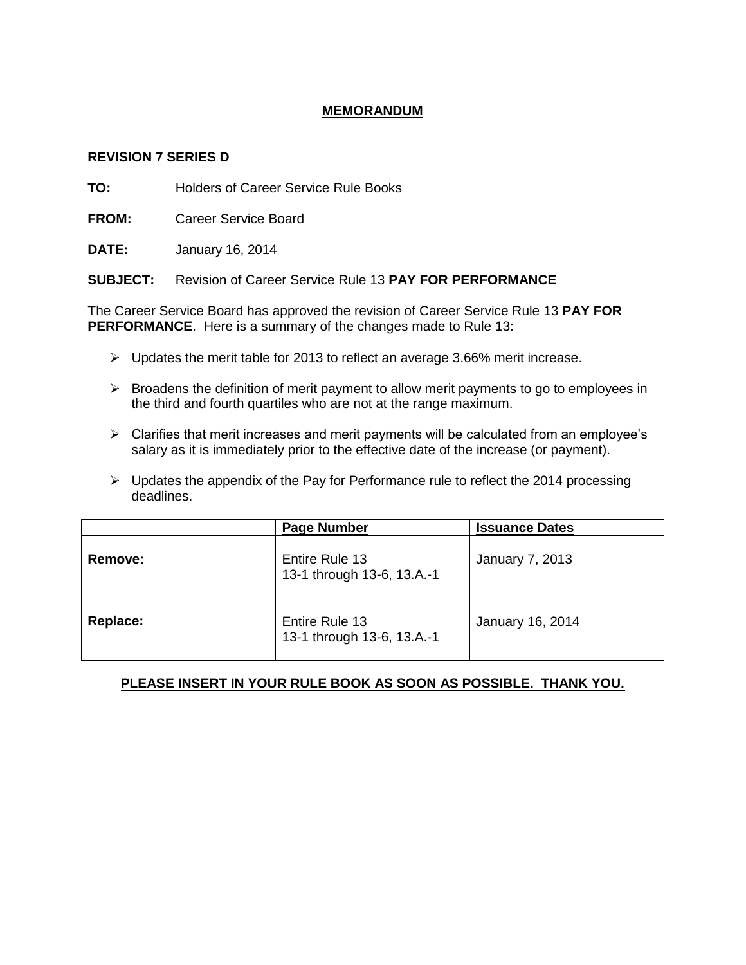## **MEMORANDUM**

### **REVISION 7 SERIES D**

**TO:** Holders of Career Service Rule Books

**FROM:** Career Service Board

**DATE:** January 16, 2014

**SUBJECT:** Revision of Career Service Rule 13 **PAY FOR PERFORMANCE**

The Career Service Board has approved the revision of Career Service Rule 13 **PAY FOR PERFORMANCE**. Here is a summary of the changes made to Rule 13:

- $\triangleright$  Updates the merit table for 2013 to reflect an average 3.66% merit increase.
- $\triangleright$  Broadens the definition of merit payment to allow merit payments to go to employees in the third and fourth quartiles who are not at the range maximum.
- $\triangleright$  Clarifies that merit increases and merit payments will be calculated from an employee's salary as it is immediately prior to the effective date of the increase (or payment).
- $\triangleright$  Updates the appendix of the Pay for Performance rule to reflect the 2014 processing deadlines.

|          | <b>Page Number</b>                           | <b>Issuance Dates</b>  |  |
|----------|----------------------------------------------|------------------------|--|
| Remove:  | Entire Rule 13<br>13-1 through 13-6, 13.A.-1 | <b>January 7, 2013</b> |  |
| Replace: | Entire Rule 13<br>13-1 through 13-6, 13.A.-1 | January 16, 2014       |  |

# **PLEASE INSERT IN YOUR RULE BOOK AS SOON AS POSSIBLE. THANK YOU.**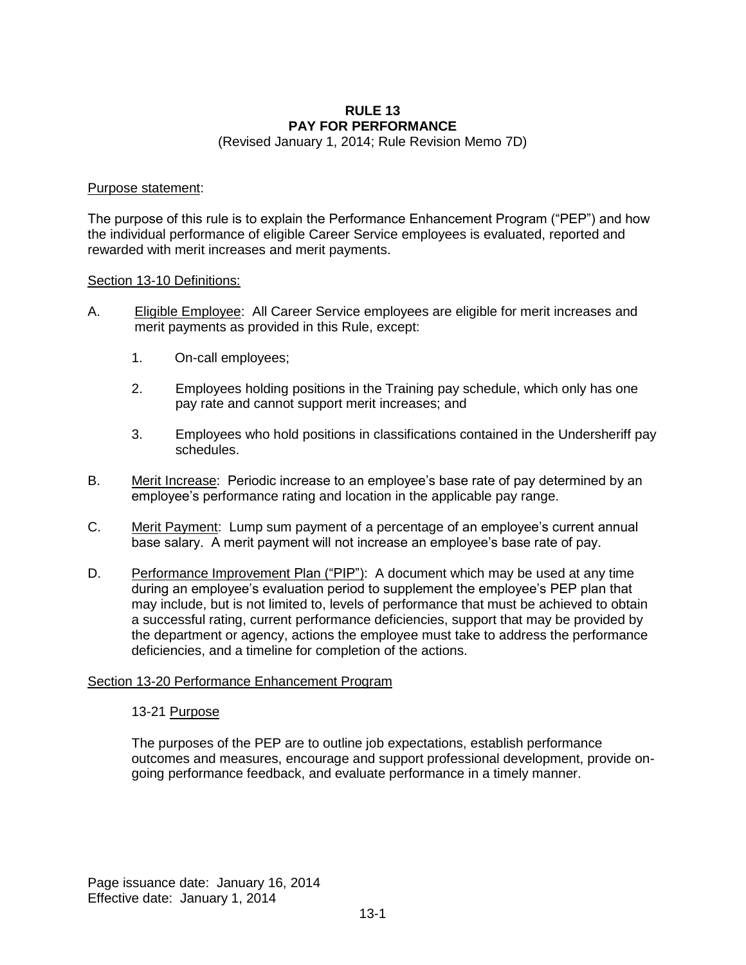### **RULE 13 PAY FOR PERFORMANCE**

(Revised January 1, 2014; Rule Revision Memo 7D)

#### Purpose statement:

The purpose of this rule is to explain the Performance Enhancement Program ("PEP") and how the individual performance of eligible Career Service employees is evaluated, reported and rewarded with merit increases and merit payments.

#### Section 13-10 Definitions:

- A. Eligible Employee: All Career Service employees are eligible for merit increases and merit payments as provided in this Rule, except:
	- 1. On-call employees;
	- 2. Employees holding positions in the Training pay schedule, which only has one pay rate and cannot support merit increases; and
	- 3. Employees who hold positions in classifications contained in the Undersheriff pay schedules.
- B. Merit Increase: Periodic increase to an employee's base rate of pay determined by an employee's performance rating and location in the applicable pay range.
- C. Merit Payment: Lump sum payment of a percentage of an employee's current annual base salary. A merit payment will not increase an employee's base rate of pay.
- D. Performance Improvement Plan ("PIP"): A document which may be used at any time during an employee's evaluation period to supplement the employee's PEP plan that may include, but is not limited to, levels of performance that must be achieved to obtain a successful rating, current performance deficiencies, support that may be provided by the department or agency, actions the employee must take to address the performance deficiencies, and a timeline for completion of the actions.

### Section 13-20 Performance Enhancement Program

#### 13-21 Purpose

The purposes of the PEP are to outline job expectations, establish performance outcomes and measures, encourage and support professional development, provide ongoing performance feedback, and evaluate performance in a timely manner.

Page issuance date: January 16, 2014 Effective date: January 1, 2014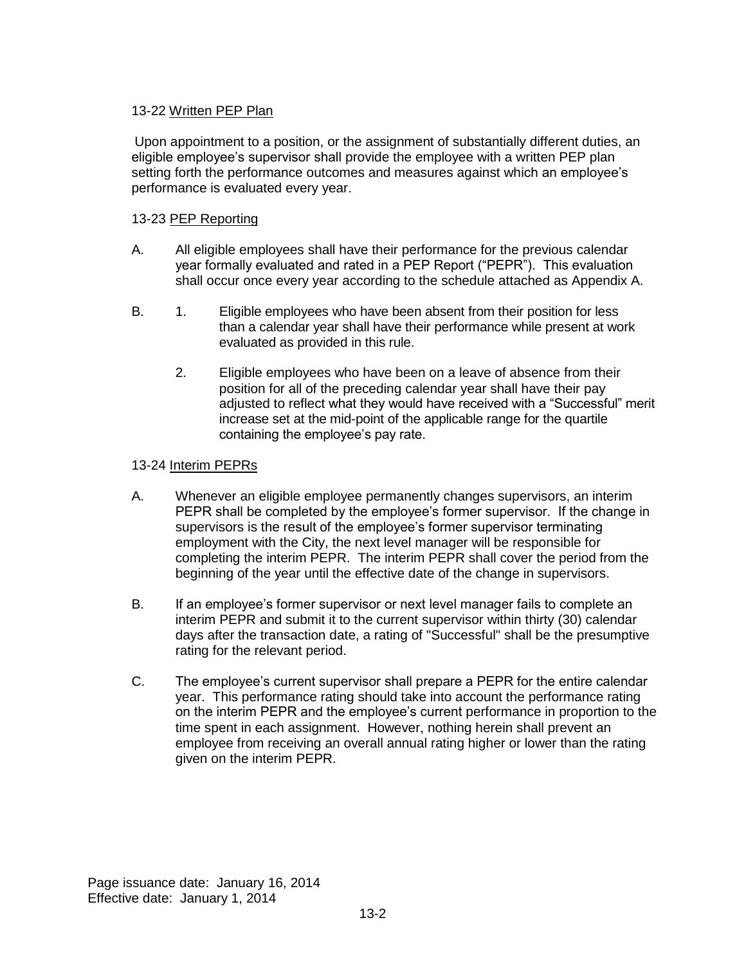## 13-22 Written PEP Plan

Upon appointment to a position, or the assignment of substantially different duties, an eligible employee's supervisor shall provide the employee with a written PEP plan setting forth the performance outcomes and measures against which an employee's performance is evaluated every year.

## 13-23 PEP Reporting

- A. All eligible employees shall have their performance for the previous calendar year formally evaluated and rated in a PEP Report ("PEPR"). This evaluation shall occur once every year according to the schedule attached as Appendix A.
- B. 1. Eligible employees who have been absent from their position for less than a calendar year shall have their performance while present at work evaluated as provided in this rule.
	- 2. Eligible employees who have been on a leave of absence from their position for all of the preceding calendar year shall have their pay adjusted to reflect what they would have received with a "Successful" merit increase set at the mid-point of the applicable range for the quartile containing the employee's pay rate.

# 13-24 Interim PEPRs

- A. Whenever an eligible employee permanently changes supervisors, an interim PEPR shall be completed by the employee's former supervisor. If the change in supervisors is the result of the employee's former supervisor terminating employment with the City, the next level manager will be responsible for completing the interim PEPR. The interim PEPR shall cover the period from the beginning of the year until the effective date of the change in supervisors.
- B. If an employee's former supervisor or next level manager fails to complete an interim PEPR and submit it to the current supervisor within thirty (30) calendar days after the transaction date, a rating of "Successful" shall be the presumptive rating for the relevant period.
- C. The employee's current supervisor shall prepare a PEPR for the entire calendar year. This performance rating should take into account the performance rating on the interim PEPR and the employee's current performance in proportion to the time spent in each assignment. However, nothing herein shall prevent an employee from receiving an overall annual rating higher or lower than the rating given on the interim PEPR.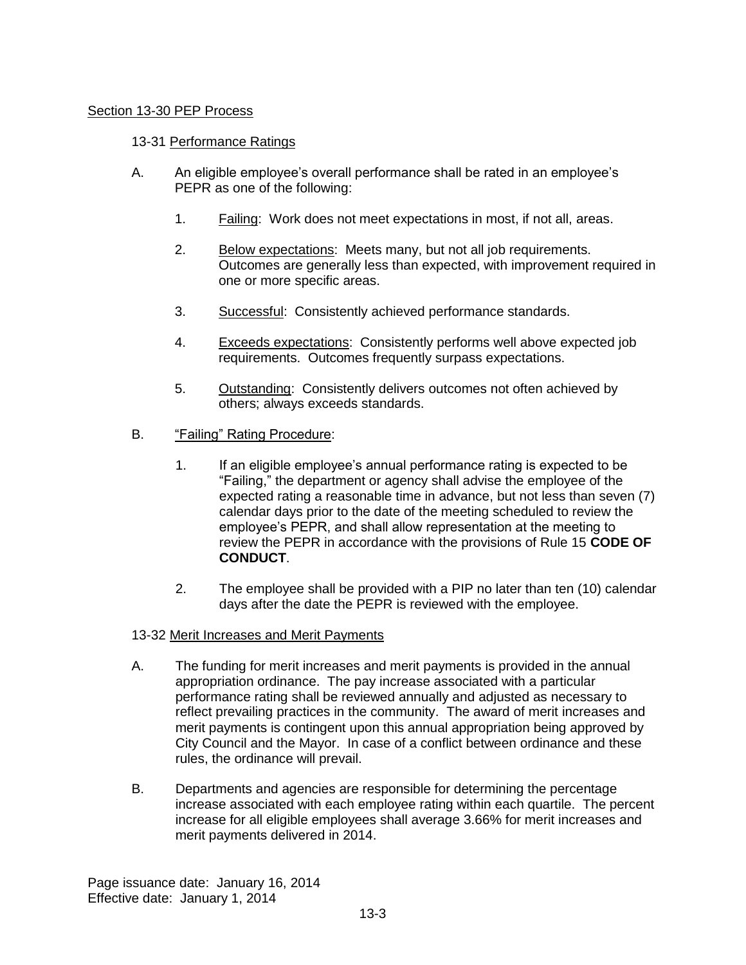### Section 13-30 PEP Process

### 13-31 Performance Ratings

- A. An eligible employee's overall performance shall be rated in an employee's PEPR as one of the following:
	- 1. Failing: Work does not meet expectations in most, if not all, areas.
	- 2. Below expectations: Meets many, but not all job requirements. Outcomes are generally less than expected, with improvement required in one or more specific areas.
	- 3. Successful: Consistently achieved performance standards.
	- 4. Exceeds expectations: Consistently performs well above expected job requirements. Outcomes frequently surpass expectations.
	- 5. Outstanding: Consistently delivers outcomes not often achieved by others; always exceeds standards.
- B. "Failing" Rating Procedure:
	- 1. If an eligible employee's annual performance rating is expected to be "Failing," the department or agency shall advise the employee of the expected rating a reasonable time in advance, but not less than seven (7) calendar days prior to the date of the meeting scheduled to review the employee's PEPR, and shall allow representation at the meeting to review the PEPR in accordance with the provisions of Rule 15 **CODE OF CONDUCT**.
	- 2. The employee shall be provided with a PIP no later than ten (10) calendar days after the date the PEPR is reviewed with the employee.

#### 13-32 Merit Increases and Merit Payments

- A. The funding for merit increases and merit payments is provided in the annual appropriation ordinance. The pay increase associated with a particular performance rating shall be reviewed annually and adjusted as necessary to reflect prevailing practices in the community. The award of merit increases and merit payments is contingent upon this annual appropriation being approved by City Council and the Mayor. In case of a conflict between ordinance and these rules, the ordinance will prevail.
- B. Departments and agencies are responsible for determining the percentage increase associated with each employee rating within each quartile. The percent increase for all eligible employees shall average 3.66% for merit increases and merit payments delivered in 2014.

Page issuance date: January 16, 2014 Effective date: January 1, 2014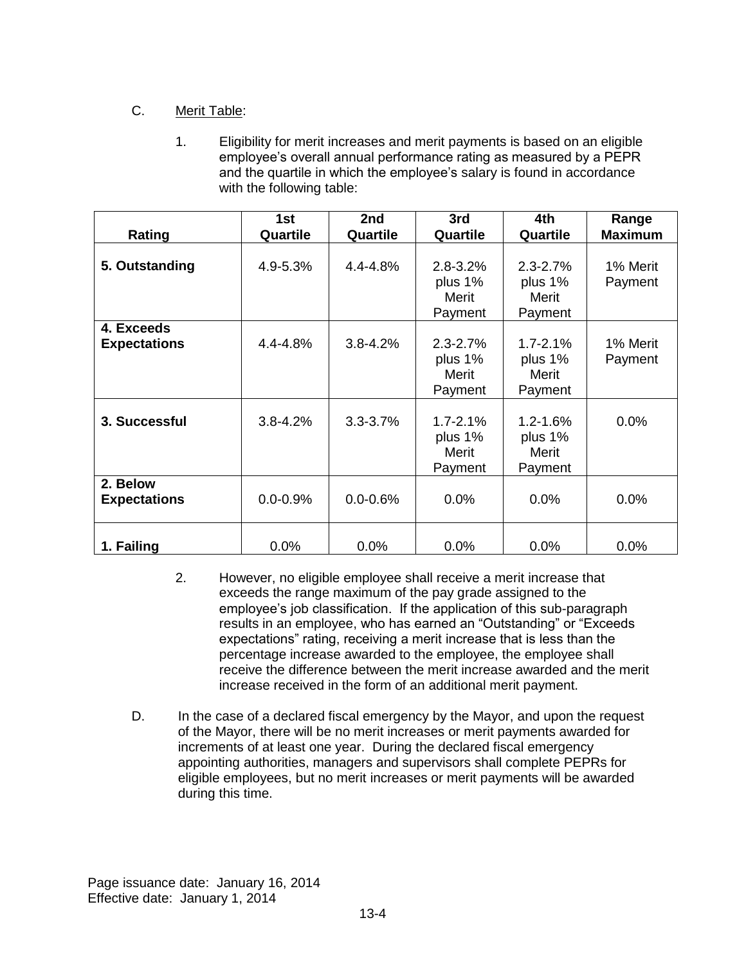# C. Merit Table:

1. Eligibility for merit increases and merit payments is based on an eligible employee's overall annual performance rating as measured by a PEPR and the quartile in which the employee's salary is found in accordance with the following table:

|                                   | 1st          | 2nd          | 3rd                                         | 4th                                          | Range               |
|-----------------------------------|--------------|--------------|---------------------------------------------|----------------------------------------------|---------------------|
| Rating                            | Quartile     | Quartile     | Quartile                                    | Quartile                                     | <b>Maximum</b>      |
| 5. Outstanding                    | 4.9-5.3%     | $4.4 - 4.8%$ | $2.8 - 3.2%$<br>plus 1%<br>Merit<br>Payment | $2.3 - 2.7%$<br>plus 1%<br>Merit<br>Payment  | 1% Merit<br>Payment |
| 4. Exceeds<br><b>Expectations</b> | 4.4-4.8%     | $3.8 - 4.2%$ | $2.3 - 2.7%$<br>plus 1%<br>Merit<br>Payment | $1.7 - 2.1\%$<br>plus 1%<br>Merit<br>Payment | 1% Merit<br>Payment |
| 3. Successful                     | $3.8 - 4.2%$ | $3.3 - 3.7%$ | $1.7 - 2.1%$<br>plus 1%<br>Merit<br>Payment | $1.2 - 1.6%$<br>plus 1%<br>Merit<br>Payment  | $0.0\%$             |
| 2. Below<br><b>Expectations</b>   | $0.0 - 0.9%$ | $0.0 - 0.6%$ | 0.0%                                        | 0.0%                                         | $0.0\%$             |
| 1. Failing                        | 0.0%         | 0.0%         | 0.0%                                        | 0.0%                                         | 0.0%                |

- 2. However, no eligible employee shall receive a merit increase that exceeds the range maximum of the pay grade assigned to the employee's job classification. If the application of this sub-paragraph results in an employee, who has earned an "Outstanding" or "Exceeds expectations" rating, receiving a merit increase that is less than the percentage increase awarded to the employee, the employee shall receive the difference between the merit increase awarded and the merit increase received in the form of an additional merit payment.
- D. In the case of a declared fiscal emergency by the Mayor, and upon the request of the Mayor, there will be no merit increases or merit payments awarded for increments of at least one year. During the declared fiscal emergency appointing authorities, managers and supervisors shall complete PEPRs for eligible employees, but no merit increases or merit payments will be awarded during this time.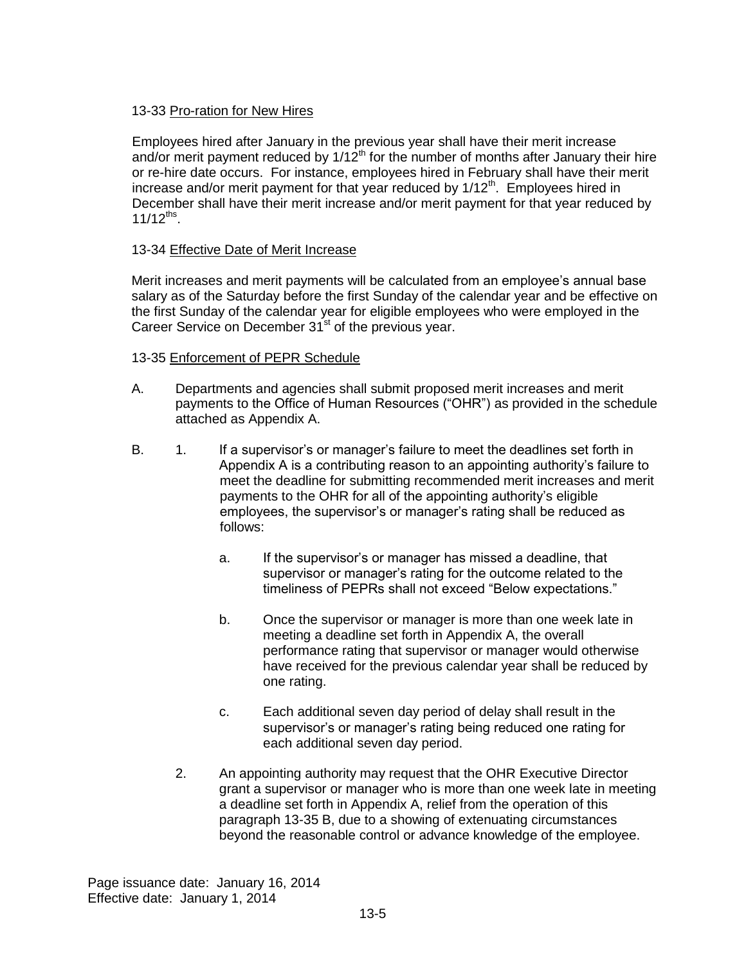### 13-33 Pro-ration for New Hires

Employees hired after January in the previous year shall have their merit increase and/or merit payment reduced by  $1/12<sup>th</sup>$  for the number of months after January their hire or re-hire date occurs. For instance, employees hired in February shall have their merit increase and/or merit payment for that year reduced by 1/12<sup>th</sup>. Employees hired in December shall have their merit increase and/or merit payment for that year reduced by  $11/12^{ths}$ .

### 13-34 Effective Date of Merit Increase

Merit increases and merit payments will be calculated from an employee's annual base salary as of the Saturday before the first Sunday of the calendar year and be effective on the first Sunday of the calendar year for eligible employees who were employed in the Career Service on December  $31<sup>st</sup>$  of the previous year.

## 13-35 Enforcement of PEPR Schedule

- A. Departments and agencies shall submit proposed merit increases and merit payments to the Office of Human Resources ("OHR") as provided in the schedule attached as Appendix A.
- B. 1. If a supervisor's or manager's failure to meet the deadlines set forth in Appendix A is a contributing reason to an appointing authority's failure to meet the deadline for submitting recommended merit increases and merit payments to the OHR for all of the appointing authority's eligible employees, the supervisor's or manager's rating shall be reduced as follows:
	- a. If the supervisor's or manager has missed a deadline, that supervisor or manager's rating for the outcome related to the timeliness of PEPRs shall not exceed "Below expectations."
	- b. Once the supervisor or manager is more than one week late in meeting a deadline set forth in Appendix A, the overall performance rating that supervisor or manager would otherwise have received for the previous calendar year shall be reduced by one rating.
	- c. Each additional seven day period of delay shall result in the supervisor's or manager's rating being reduced one rating for each additional seven day period.
	- 2. An appointing authority may request that the OHR Executive Director grant a supervisor or manager who is more than one week late in meeting a deadline set forth in Appendix A, relief from the operation of this paragraph 13-35 B, due to a showing of extenuating circumstances beyond the reasonable control or advance knowledge of the employee.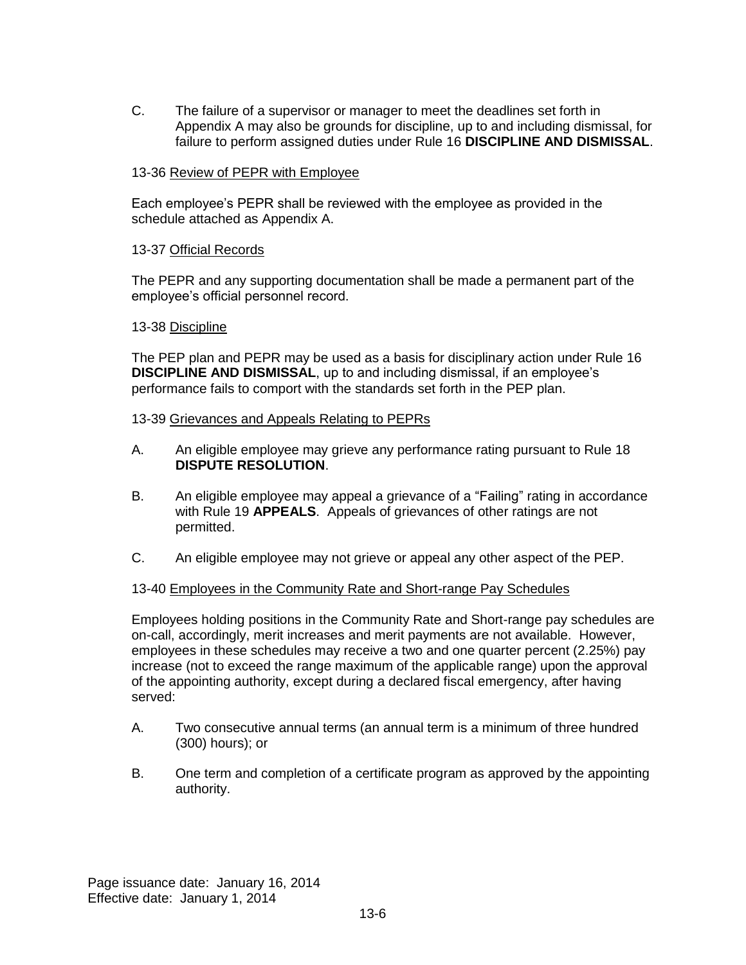C. The failure of a supervisor or manager to meet the deadlines set forth in Appendix A may also be grounds for discipline, up to and including dismissal, for failure to perform assigned duties under Rule 16 **DISCIPLINE AND DISMISSAL**.

### 13-36 Review of PEPR with Employee

Each employee's PEPR shall be reviewed with the employee as provided in the schedule attached as Appendix A.

#### 13-37 Official Records

The PEPR and any supporting documentation shall be made a permanent part of the employee's official personnel record.

### 13-38 Discipline

The PEP plan and PEPR may be used as a basis for disciplinary action under Rule 16 **DISCIPLINE AND DISMISSAL**, up to and including dismissal, if an employee's performance fails to comport with the standards set forth in the PEP plan.

#### 13-39 Grievances and Appeals Relating to PEPRs

- A. An eligible employee may grieve any performance rating pursuant to Rule 18 **DISPUTE RESOLUTION**.
- B. An eligible employee may appeal a grievance of a "Failing" rating in accordance with Rule 19 **APPEALS**. Appeals of grievances of other ratings are not permitted.
- C. An eligible employee may not grieve or appeal any other aspect of the PEP.

#### 13-40 Employees in the Community Rate and Short-range Pay Schedules

Employees holding positions in the Community Rate and Short-range pay schedules are on-call, accordingly, merit increases and merit payments are not available. However, employees in these schedules may receive a two and one quarter percent (2.25%) pay increase (not to exceed the range maximum of the applicable range) upon the approval of the appointing authority, except during a declared fiscal emergency, after having served:

- A. Two consecutive annual terms (an annual term is a minimum of three hundred (300) hours); or
- B. One term and completion of a certificate program as approved by the appointing authority.